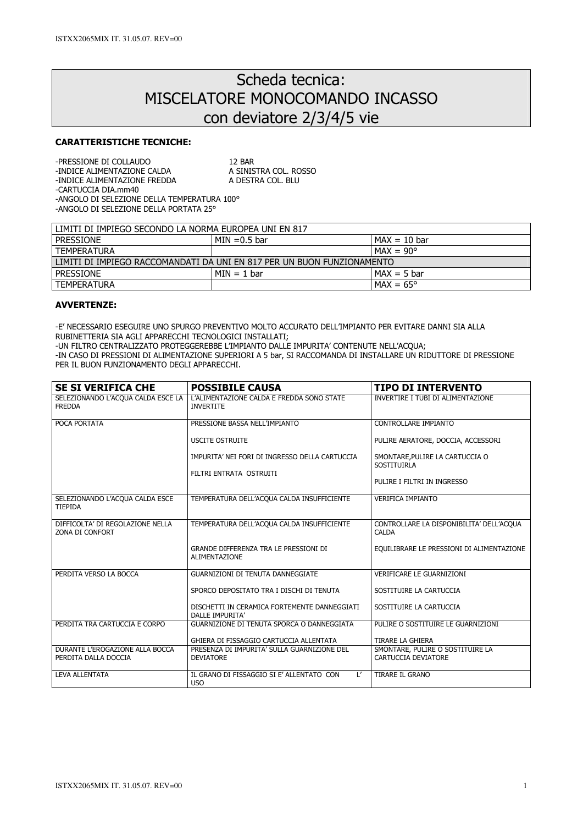# Scheda tecnica: MISCELATORE MONOCOMANDO INCASSO con deviatore 2/3/4/5 vie

## CARATTERISTICHE TECNICHE:

| -PRESSIONE DI COLLAUDO                      | 12 BAR                |  |
|---------------------------------------------|-----------------------|--|
| -INDICE ALIMENTAZIONE CALDA                 | A SINISTRA COL. ROSSO |  |
| -INDICE ALIMENTAZIONE FREDDA                | A DESTRA COL. BLU     |  |
| -CARTUCCIA DIA.mm40                         |                       |  |
| -ANGOLO DI SELEZIONE DELLA TEMPERATURA 100° |                       |  |

-ANGOLO DI SELEZIONE DELLA PORTATA 25°

| l limiti di Impiego secondo la Norma Europea uni en 817                  |                 |                    |  |
|--------------------------------------------------------------------------|-----------------|--------------------|--|
| <b>PRESSIONE</b>                                                         | $MIN = 0.5$ bar | $IMAX = 10 bar$    |  |
| <b>TEMPERATURA</b>                                                       |                 | $MAX = 90^{\circ}$ |  |
| l limiti di Impiego Raccomandati da uni en 817 per un buon funzionamento |                 |                    |  |
| I PRESSIONE                                                              | $MIN = 1 bar$   | $MAX = 5 bar$      |  |
| I TEMPERATURA                                                            |                 | $MAX = 65^{\circ}$ |  |

#### AVVERTENZE:

-E' NECESSARIO ESEGUIRE UNO SPURGO PREVENTIVO MOLTO ACCURATO DELL'IMPIANTO PER EVITARE DANNI SIA ALLA RUBINETTERIA SIA AGLI APPARECCHI TECNOLOGICI INSTALLATI;

-UN FILTRO CENTRALIZZATO PROTEGGEREBBE L'IMPIANTO DALLE IMPURITA' CONTENUTE NELL'ACQUA;

-IN CASO DI PRESSIONI DI ALIMENTAZIONE SUPERIORI A 5 bar, SI RACCOMANDA DI INSTALLARE UN RIDUTTORE DI PRESSIONE PER IL BUON FUNZIONAMENTO DEGLI APPARECCHI.

| <b>SE SI VERIFICA CHE</b>                               | <b>POSSIBILE CAUSA</b>                                                           | <b>TIPO DI INTERVENTO</b>                                |
|---------------------------------------------------------|----------------------------------------------------------------------------------|----------------------------------------------------------|
| SELEZIONANDO L'ACQUA CALDA ESCE LA<br><b>FREDDA</b>     | L'ALIMENTAZIONE CALDA E FREDDA SONO STATE<br><b>INVERTITE</b>                    | INVERTIRE I TUBI DI ALIMENTAZIONE                        |
| POCA PORTATA                                            | PRESSIONE BASSA NELL'IMPIANTO                                                    | CONTROLLARE IMPIANTO                                     |
|                                                         | <b>USCITE OSTRUITE</b>                                                           | PULIRE AERATORE, DOCCIA, ACCESSORI                       |
|                                                         | IMPURITA' NEI FORI DI INGRESSO DELLA CARTUCCIA                                   | SMONTARE, PULIRE LA CARTUCCIA O<br><b>SOSTITUIRLA</b>    |
|                                                         | FILTRI ENTRATA OSTRUITI                                                          | PULIRE I FILTRI IN INGRESSO                              |
| SELEZIONANDO L'ACQUA CALDA ESCE<br><b>TIEPIDA</b>       | TEMPERATURA DELL'ACQUA CALDA INSUFFICIENTE                                       | <b>VERIFICA IMPIANTO</b>                                 |
| DIFFICOLTA' DI REGOLAZIONE NELLA<br>ZONA DI CONFORT     | TEMPERATURA DELL'ACQUA CALDA INSUFFICIENTE                                       | CONTROLLARE LA DISPONIBILITA' DELL'ACQUA<br><b>CALDA</b> |
|                                                         | GRANDE DIFFERENZA TRA LE PRESSIONI DI<br><b>ALIMENTAZIONE</b>                    | EQUILIBRARE LE PRESSIONI DI ALIMENTAZIONE                |
| PERDITA VERSO LA BOCCA                                  | <b>GUARNIZIONI DI TENUTA DANNEGGIATE</b>                                         | <b>VERIFICARE LE GUARNIZIONI</b>                         |
|                                                         | SPORCO DEPOSITATO TRA I DISCHI DI TENUTA                                         | SOSTITUIRE LA CARTUCCIA                                  |
|                                                         | DISCHETTI IN CERAMICA FORTEMENTE DANNEGGIATI<br>DALLE IMPURITA'                  | SOSTITUIRE LA CARTUCCIA                                  |
| PERDITA TRA CARTUCCIA E CORPO                           | GUARNIZIONE DI TENUTA SPORCA O DANNEGGIATA                                       | PULIRE O SOSTITUIRE LE GUARNIZIONI                       |
|                                                         | GHIERA DI FISSAGGIO CARTUCCIA ALLENTATA                                          | TIRARE LA GHIERA                                         |
| DURANTE L'EROGAZIONE ALLA BOCCA<br>PERDITA DALLA DOCCIA | PRESENZA DI IMPURITA' SULLA GUARNIZIONE DEL<br><b>DEVIATORE</b>                  | SMONTARE, PULIRE O SOSTITUIRE LA<br>CARTUCCIA DEVIATORE  |
| <b>LEVA ALLENTATA</b>                                   | $\mathsf{L}^{\prime}$<br>IL GRANO DI FISSAGGIO SI E' ALLENTATO CON<br><b>USO</b> | TIRARE IL GRANO                                          |